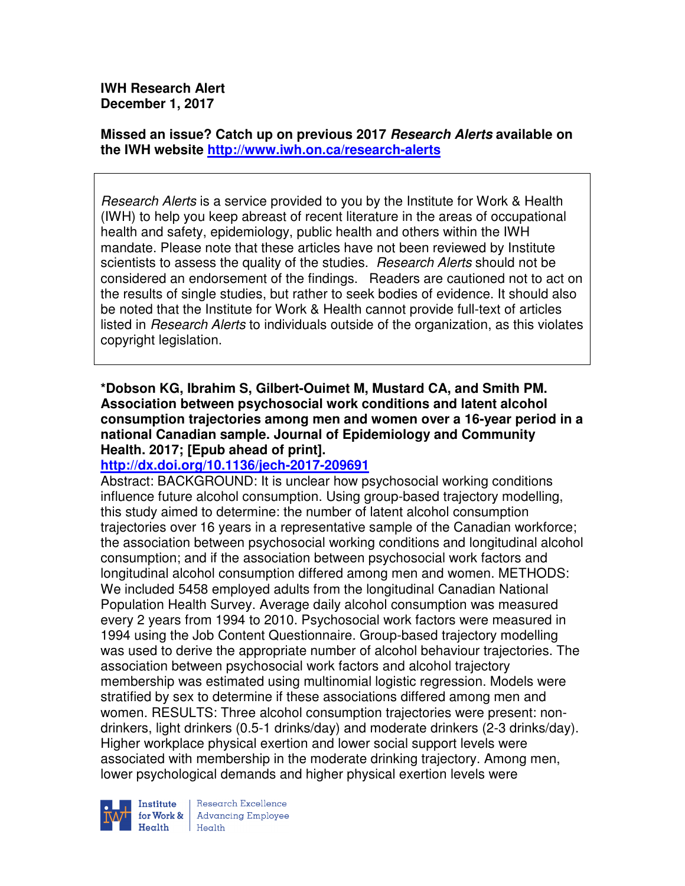### **Missed an issue? Catch up on previous 2017 Research Alerts available on the IWH website http://www.iwh.on.ca/research-alerts**

Research Alerts is a service provided to you by the Institute for Work & Health (IWH) to help you keep abreast of recent literature in the areas of occupational health and safety, epidemiology, public health and others within the IWH mandate. Please note that these articles have not been reviewed by Institute scientists to assess the quality of the studies. Research Alerts should not be considered an endorsement of the findings. Readers are cautioned not to act on the results of single studies, but rather to seek bodies of evidence. It should also be noted that the Institute for Work & Health cannot provide full-text of articles listed in *Research Alerts* to individuals outside of the organization, as this violates copyright legislation.

**\*Dobson KG, Ibrahim S, Gilbert-Ouimet M, Mustard CA, and Smith PM. Association between psychosocial work conditions and latent alcohol consumption trajectories among men and women over a 16-year period in a national Canadian sample. Journal of Epidemiology and Community Health. 2017; [Epub ahead of print].** 

# **http://dx.doi.org/10.1136/jech-2017-209691**

Abstract: BACKGROUND: It is unclear how psychosocial working conditions influence future alcohol consumption. Using group-based trajectory modelling, this study aimed to determine: the number of latent alcohol consumption trajectories over 16 years in a representative sample of the Canadian workforce; the association between psychosocial working conditions and longitudinal alcohol consumption; and if the association between psychosocial work factors and longitudinal alcohol consumption differed among men and women. METHODS: We included 5458 employed adults from the longitudinal Canadian National Population Health Survey. Average daily alcohol consumption was measured every 2 years from 1994 to 2010. Psychosocial work factors were measured in 1994 using the Job Content Questionnaire. Group-based trajectory modelling was used to derive the appropriate number of alcohol behaviour trajectories. The association between psychosocial work factors and alcohol trajectory membership was estimated using multinomial logistic regression. Models were stratified by sex to determine if these associations differed among men and women. RESULTS: Three alcohol consumption trajectories were present: nondrinkers, light drinkers (0.5-1 drinks/day) and moderate drinkers (2-3 drinks/day). Higher workplace physical exertion and lower social support levels were associated with membership in the moderate drinking trajectory. Among men, lower psychological demands and higher physical exertion levels were



Research Excellence Institute Research Excellence<br>
for Work & Advancing Employee<br>
Health Health  $H_{\text{each}}$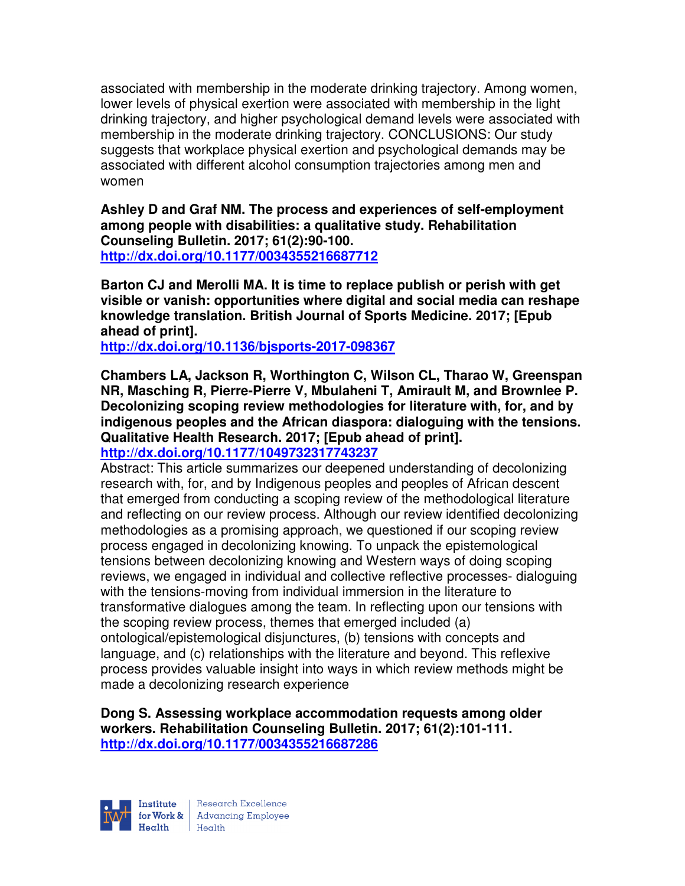associated with membership in the moderate drinking trajectory. Among women, lower levels of physical exertion were associated with membership in the light drinking trajectory, and higher psychological demand levels were associated with membership in the moderate drinking trajectory. CONCLUSIONS: Our study suggests that workplace physical exertion and psychological demands may be associated with different alcohol consumption trajectories among men and women

**Ashley D and Graf NM. The process and experiences of self-employment among people with disabilities: a qualitative study. Rehabilitation Counseling Bulletin. 2017; 61(2):90-100. http://dx.doi.org/10.1177/0034355216687712** 

**Barton CJ and Merolli MA. It is time to replace publish or perish with get visible or vanish: opportunities where digital and social media can reshape knowledge translation. British Journal of Sports Medicine. 2017; [Epub ahead of print].** 

**http://dx.doi.org/10.1136/bjsports-2017-098367** 

**Chambers LA, Jackson R, Worthington C, Wilson CL, Tharao W, Greenspan NR, Masching R, Pierre-Pierre V, Mbulaheni T, Amirault M, and Brownlee P. Decolonizing scoping review methodologies for literature with, for, and by indigenous peoples and the African diaspora: dialoguing with the tensions. Qualitative Health Research. 2017; [Epub ahead of print].** 

**http://dx.doi.org/10.1177/1049732317743237** 

Abstract: This article summarizes our deepened understanding of decolonizing research with, for, and by Indigenous peoples and peoples of African descent that emerged from conducting a scoping review of the methodological literature and reflecting on our review process. Although our review identified decolonizing methodologies as a promising approach, we questioned if our scoping review process engaged in decolonizing knowing. To unpack the epistemological tensions between decolonizing knowing and Western ways of doing scoping reviews, we engaged in individual and collective reflective processes- dialoguing with the tensions-moving from individual immersion in the literature to transformative dialogues among the team. In reflecting upon our tensions with the scoping review process, themes that emerged included (a) ontological/epistemological disjunctures, (b) tensions with concepts and language, and (c) relationships with the literature and beyond. This reflexive process provides valuable insight into ways in which review methods might be made a decolonizing research experience

**Dong S. Assessing workplace accommodation requests among older workers. Rehabilitation Counseling Bulletin. 2017; 61(2):101-111. http://dx.doi.org/10.1177/0034355216687286** 



| Research Excellence Financial Research Excellence<br>
Financing Employee<br>
Realth Health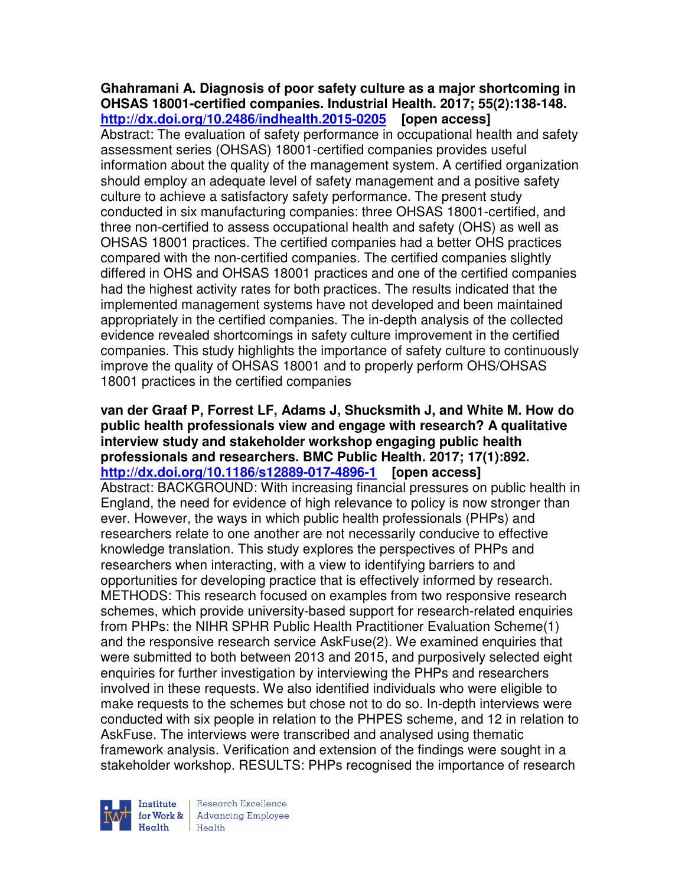**Ghahramani A. Diagnosis of poor safety culture as a major shortcoming in OHSAS 18001-certified companies. Industrial Health. 2017; 55(2):138-148. http://dx.doi.org/10.2486/indhealth.2015-0205 [open access]** Abstract: The evaluation of safety performance in occupational health and safety assessment series (OHSAS) 18001-certified companies provides useful information about the quality of the management system. A certified organization should employ an adequate level of safety management and a positive safety culture to achieve a satisfactory safety performance. The present study conducted in six manufacturing companies: three OHSAS 18001-certified, and three non-certified to assess occupational health and safety (OHS) as well as OHSAS 18001 practices. The certified companies had a better OHS practices compared with the non-certified companies. The certified companies slightly differed in OHS and OHSAS 18001 practices and one of the certified companies had the highest activity rates for both practices. The results indicated that the implemented management systems have not developed and been maintained appropriately in the certified companies. The in-depth analysis of the collected evidence revealed shortcomings in safety culture improvement in the certified companies. This study highlights the importance of safety culture to continuously improve the quality of OHSAS 18001 and to properly perform OHS/OHSAS 18001 practices in the certified companies

#### **van der Graaf P, Forrest LF, Adams J, Shucksmith J, and White M. How do public health professionals view and engage with research? A qualitative interview study and stakeholder workshop engaging public health professionals and researchers. BMC Public Health. 2017; 17(1):892. http://dx.doi.org/10.1186/s12889-017-4896-1 [open access]** Abstract: BACKGROUND: With increasing financial pressures on public health in England, the need for evidence of high relevance to policy is now stronger than ever. However, the ways in which public health professionals (PHPs) and researchers relate to one another are not necessarily conducive to effective knowledge translation. This study explores the perspectives of PHPs and researchers when interacting, with a view to identifying barriers to and opportunities for developing practice that is effectively informed by research. METHODS: This research focused on examples from two responsive research schemes, which provide university-based support for research-related enquiries from PHPs: the NIHR SPHR Public Health Practitioner Evaluation Scheme(1) and the responsive research service AskFuse(2). We examined enquiries that were submitted to both between 2013 and 2015, and purposively selected eight enquiries for further investigation by interviewing the PHPs and researchers involved in these requests. We also identified individuals who were eligible to make requests to the schemes but chose not to do so. In-depth interviews were conducted with six people in relation to the PHPES scheme, and 12 in relation to AskFuse. The interviews were transcribed and analysed using thematic framework analysis. Verification and extension of the findings were sought in a stakeholder workshop. RESULTS: PHPs recognised the importance of research



Research Excellence for Work & | Advancing Employee Health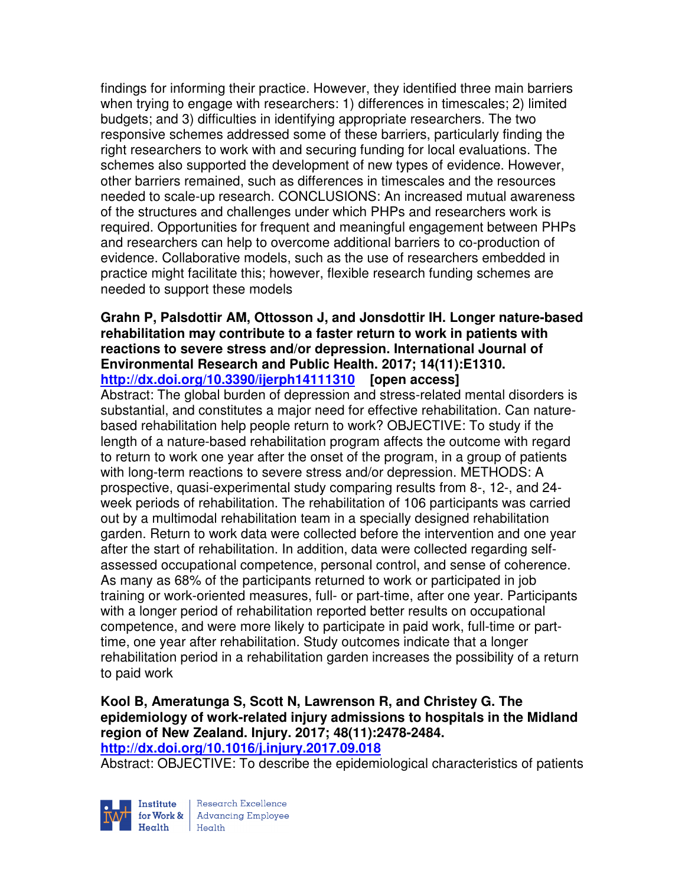findings for informing their practice. However, they identified three main barriers when trying to engage with researchers: 1) differences in timescales; 2) limited budgets; and 3) difficulties in identifying appropriate researchers. The two responsive schemes addressed some of these barriers, particularly finding the right researchers to work with and securing funding for local evaluations. The schemes also supported the development of new types of evidence. However, other barriers remained, such as differences in timescales and the resources needed to scale-up research. CONCLUSIONS: An increased mutual awareness of the structures and challenges under which PHPs and researchers work is required. Opportunities for frequent and meaningful engagement between PHPs and researchers can help to overcome additional barriers to co-production of evidence. Collaborative models, such as the use of researchers embedded in practice might facilitate this; however, flexible research funding schemes are needed to support these models

### **Grahn P, Palsdottir AM, Ottosson J, and Jonsdottir IH. Longer nature-based rehabilitation may contribute to a faster return to work in patients with reactions to severe stress and/or depression. International Journal of Environmental Research and Public Health. 2017; 14(11):E1310. http://dx.doi.org/10.3390/ijerph14111310 [open access]**

Abstract: The global burden of depression and stress-related mental disorders is substantial, and constitutes a major need for effective rehabilitation. Can naturebased rehabilitation help people return to work? OBJECTIVE: To study if the length of a nature-based rehabilitation program affects the outcome with regard to return to work one year after the onset of the program, in a group of patients with long-term reactions to severe stress and/or depression. METHODS: A prospective, quasi-experimental study comparing results from 8-, 12-, and 24 week periods of rehabilitation. The rehabilitation of 106 participants was carried out by a multimodal rehabilitation team in a specially designed rehabilitation garden. Return to work data were collected before the intervention and one year after the start of rehabilitation. In addition, data were collected regarding selfassessed occupational competence, personal control, and sense of coherence. As many as 68% of the participants returned to work or participated in job training or work-oriented measures, full- or part-time, after one year. Participants with a longer period of rehabilitation reported better results on occupational competence, and were more likely to participate in paid work, full-time or parttime, one year after rehabilitation. Study outcomes indicate that a longer rehabilitation period in a rehabilitation garden increases the possibility of a return to paid work

#### **Kool B, Ameratunga S, Scott N, Lawrenson R, and Christey G. The epidemiology of work-related injury admissions to hospitals in the Midland region of New Zealand. Injury. 2017; 48(11):2478-2484. http://dx.doi.org/10.1016/j.injury.2017.09.018**

Abstract: OBJECTIVE: To describe the epidemiological characteristics of patients



Research Excellence for Work & | Advancing Employee  $Heath$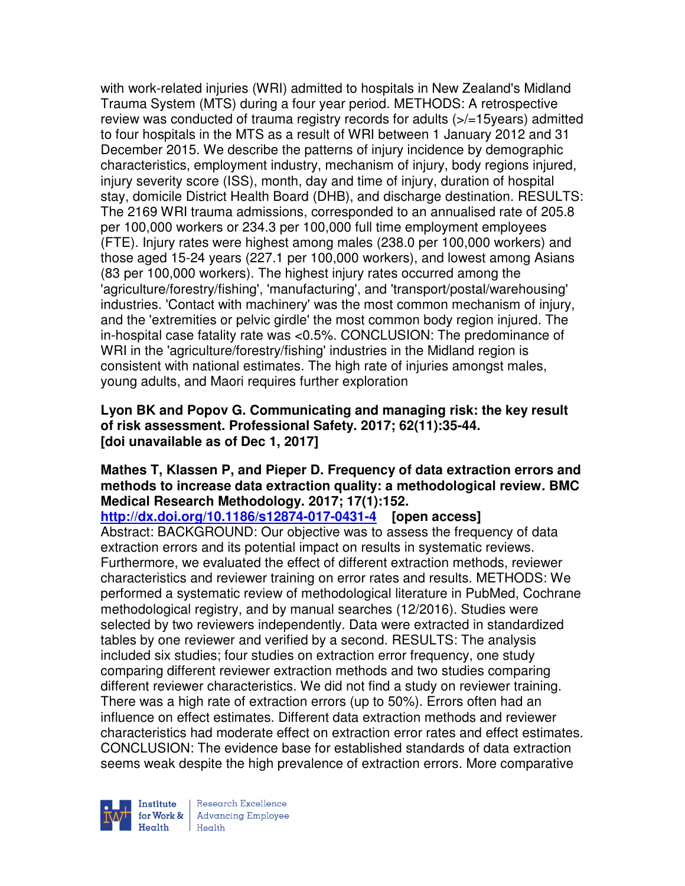with work-related injuries (WRI) admitted to hospitals in New Zealand's Midland Trauma System (MTS) during a four year period. METHODS: A retrospective review was conducted of trauma registry records for adults (>/=15years) admitted to four hospitals in the MTS as a result of WRI between 1 January 2012 and 31 December 2015. We describe the patterns of injury incidence by demographic characteristics, employment industry, mechanism of injury, body regions injured, injury severity score (ISS), month, day and time of injury, duration of hospital stay, domicile District Health Board (DHB), and discharge destination. RESULTS: The 2169 WRI trauma admissions, corresponded to an annualised rate of 205.8 per 100,000 workers or 234.3 per 100,000 full time employment employees (FTE). Injury rates were highest among males (238.0 per 100,000 workers) and those aged 15-24 years (227.1 per 100,000 workers), and lowest among Asians (83 per 100,000 workers). The highest injury rates occurred among the 'agriculture/forestry/fishing', 'manufacturing', and 'transport/postal/warehousing' industries. 'Contact with machinery' was the most common mechanism of injury, and the 'extremities or pelvic girdle' the most common body region injured. The in-hospital case fatality rate was <0.5%. CONCLUSION: The predominance of WRI in the 'agriculture/forestry/fishing' industries in the Midland region is consistent with national estimates. The high rate of injuries amongst males, young adults, and Maori requires further exploration

## **Lyon BK and Popov G. Communicating and managing risk: the key result of risk assessment. Professional Safety. 2017; 62(11):35-44. [doi unavailable as of Dec 1, 2017]**

## **Mathes T, Klassen P, and Pieper D. Frequency of data extraction errors and methods to increase data extraction quality: a methodological review. BMC Medical Research Methodology. 2017; 17(1):152.**

**http://dx.doi.org/10.1186/s12874-017-0431-4 [open access]**

Abstract: BACKGROUND: Our objective was to assess the frequency of data extraction errors and its potential impact on results in systematic reviews. Furthermore, we evaluated the effect of different extraction methods, reviewer characteristics and reviewer training on error rates and results. METHODS: We performed a systematic review of methodological literature in PubMed, Cochrane methodological registry, and by manual searches (12/2016). Studies were selected by two reviewers independently. Data were extracted in standardized tables by one reviewer and verified by a second. RESULTS: The analysis included six studies; four studies on extraction error frequency, one study comparing different reviewer extraction methods and two studies comparing different reviewer characteristics. We did not find a study on reviewer training. There was a high rate of extraction errors (up to 50%). Errors often had an influence on effect estimates. Different data extraction methods and reviewer characteristics had moderate effect on extraction error rates and effect estimates. CONCLUSION: The evidence base for established standards of data extraction seems weak despite the high prevalence of extraction errors. More comparative

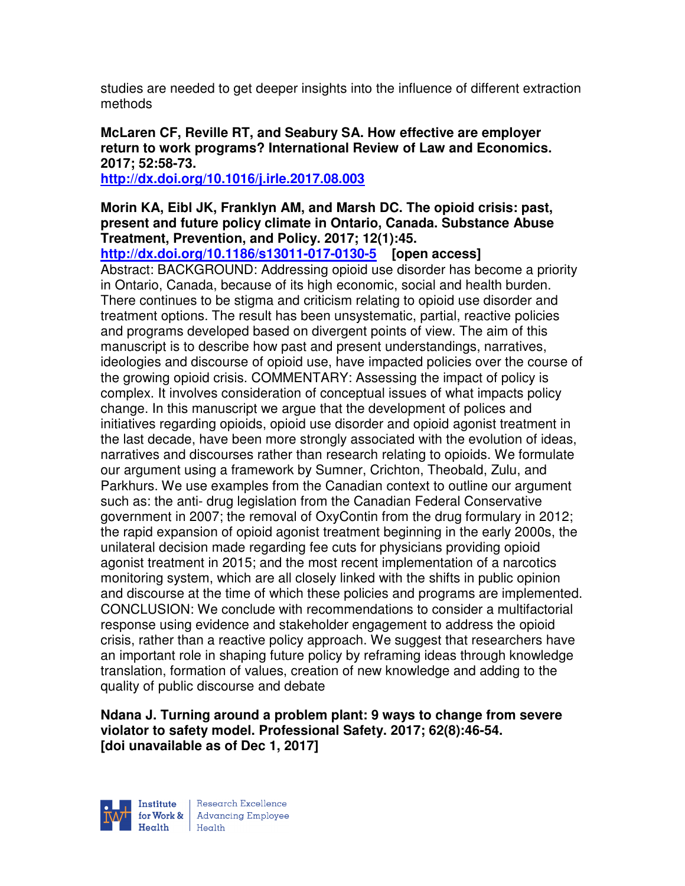studies are needed to get deeper insights into the influence of different extraction methods

## **McLaren CF, Reville RT, and Seabury SA. How effective are employer return to work programs? International Review of Law and Economics. 2017; 52:58-73.**

**http://dx.doi.org/10.1016/j.irle.2017.08.003** 

# **Morin KA, Eibl JK, Franklyn AM, and Marsh DC. The opioid crisis: past, present and future policy climate in Ontario, Canada. Substance Abuse Treatment, Prevention, and Policy. 2017; 12(1):45.**

**http://dx.doi.org/10.1186/s13011-017-0130-5 [open access]**

Abstract: BACKGROUND: Addressing opioid use disorder has become a priority in Ontario, Canada, because of its high economic, social and health burden. There continues to be stigma and criticism relating to opioid use disorder and treatment options. The result has been unsystematic, partial, reactive policies and programs developed based on divergent points of view. The aim of this manuscript is to describe how past and present understandings, narratives, ideologies and discourse of opioid use, have impacted policies over the course of the growing opioid crisis. COMMENTARY: Assessing the impact of policy is complex. It involves consideration of conceptual issues of what impacts policy change. In this manuscript we argue that the development of polices and initiatives regarding opioids, opioid use disorder and opioid agonist treatment in the last decade, have been more strongly associated with the evolution of ideas, narratives and discourses rather than research relating to opioids. We formulate our argument using a framework by Sumner, Crichton, Theobald, Zulu, and Parkhurs. We use examples from the Canadian context to outline our argument such as: the anti- drug legislation from the Canadian Federal Conservative government in 2007; the removal of OxyContin from the drug formulary in 2012; the rapid expansion of opioid agonist treatment beginning in the early 2000s, the unilateral decision made regarding fee cuts for physicians providing opioid agonist treatment in 2015; and the most recent implementation of a narcotics monitoring system, which are all closely linked with the shifts in public opinion and discourse at the time of which these policies and programs are implemented. CONCLUSION: We conclude with recommendations to consider a multifactorial response using evidence and stakeholder engagement to address the opioid crisis, rather than a reactive policy approach. We suggest that researchers have an important role in shaping future policy by reframing ideas through knowledge translation, formation of values, creation of new knowledge and adding to the quality of public discourse and debate

## **Ndana J. Turning around a problem plant: 9 ways to change from severe violator to safety model. Professional Safety. 2017; 62(8):46-54. [doi unavailable as of Dec 1, 2017]**



Research Excellence for Work & Advancing Employee  $H_{\text{eath}}$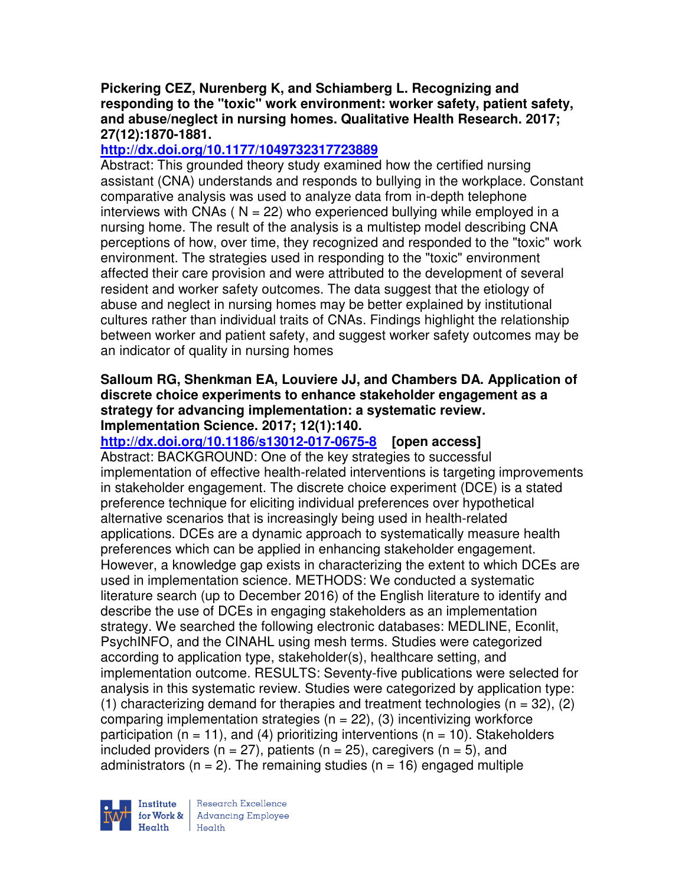### **Pickering CEZ, Nurenberg K, and Schiamberg L. Recognizing and responding to the "toxic" work environment: worker safety, patient safety, and abuse/neglect in nursing homes. Qualitative Health Research. 2017; 27(12):1870-1881.**

# **http://dx.doi.org/10.1177/1049732317723889**

Abstract: This grounded theory study examined how the certified nursing assistant (CNA) understands and responds to bullying in the workplace. Constant comparative analysis was used to analyze data from in-depth telephone interviews with CNAs ( $N = 22$ ) who experienced bullying while employed in a nursing home. The result of the analysis is a multistep model describing CNA perceptions of how, over time, they recognized and responded to the "toxic" work environment. The strategies used in responding to the "toxic" environment affected their care provision and were attributed to the development of several resident and worker safety outcomes. The data suggest that the etiology of abuse and neglect in nursing homes may be better explained by institutional cultures rather than individual traits of CNAs. Findings highlight the relationship between worker and patient safety, and suggest worker safety outcomes may be an indicator of quality in nursing homes

#### **Salloum RG, Shenkman EA, Louviere JJ, and Chambers DA. Application of discrete choice experiments to enhance stakeholder engagement as a strategy for advancing implementation: a systematic review. Implementation Science. 2017; 12(1):140.**

**http://dx.doi.org/10.1186/s13012-017-0675-8 [open access]** Abstract: BACKGROUND: One of the key strategies to successful implementation of effective health-related interventions is targeting improvements in stakeholder engagement. The discrete choice experiment (DCE) is a stated preference technique for eliciting individual preferences over hypothetical alternative scenarios that is increasingly being used in health-related applications. DCEs are a dynamic approach to systematically measure health preferences which can be applied in enhancing stakeholder engagement. However, a knowledge gap exists in characterizing the extent to which DCEs are used in implementation science. METHODS: We conducted a systematic literature search (up to December 2016) of the English literature to identify and describe the use of DCEs in engaging stakeholders as an implementation strategy. We searched the following electronic databases: MEDLINE, Econlit, PsychINFO, and the CINAHL using mesh terms. Studies were categorized according to application type, stakeholder(s), healthcare setting, and implementation outcome. RESULTS: Seventy-five publications were selected for analysis in this systematic review. Studies were categorized by application type: (1) characterizing demand for therapies and treatment technologies ( $n = 32$ ), (2) comparing implementation strategies ( $n = 22$ ), (3) incentivizing workforce participation ( $n = 11$ ), and (4) prioritizing interventions ( $n = 10$ ). Stakeholders included providers ( $n = 27$ ), patients ( $n = 25$ ), caregivers ( $n = 5$ ), and administrators ( $n = 2$ ). The remaining studies ( $n = 16$ ) engaged multiple

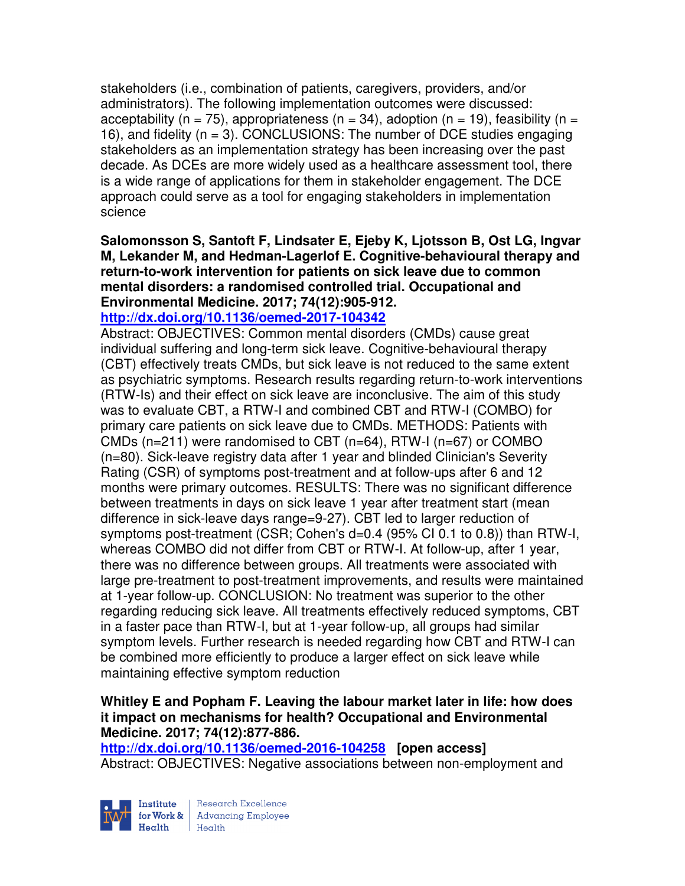stakeholders (i.e., combination of patients, caregivers, providers, and/or administrators). The following implementation outcomes were discussed: acceptability (n = 75), appropriateness (n = 34), adoption (n = 19), feasibility (n = 16), and fidelity (n = 3). CONCLUSIONS: The number of DCE studies engaging stakeholders as an implementation strategy has been increasing over the past decade. As DCEs are more widely used as a healthcare assessment tool, there is a wide range of applications for them in stakeholder engagement. The DCE approach could serve as a tool for engaging stakeholders in implementation science

**Salomonsson S, Santoft F, Lindsater E, Ejeby K, Ljotsson B, Ost LG, Ingvar M, Lekander M, and Hedman-Lagerlof E. Cognitive-behavioural therapy and return-to-work intervention for patients on sick leave due to common mental disorders: a randomised controlled trial. Occupational and Environmental Medicine. 2017; 74(12):905-912.** 

## **http://dx.doi.org/10.1136/oemed-2017-104342**

Abstract: OBJECTIVES: Common mental disorders (CMDs) cause great individual suffering and long-term sick leave. Cognitive-behavioural therapy (CBT) effectively treats CMDs, but sick leave is not reduced to the same extent as psychiatric symptoms. Research results regarding return-to-work interventions (RTW-Is) and their effect on sick leave are inconclusive. The aim of this study was to evaluate CBT, a RTW-I and combined CBT and RTW-I (COMBO) for primary care patients on sick leave due to CMDs. METHODS: Patients with CMDs (n=211) were randomised to CBT (n=64), RTW-I (n=67) or COMBO (n=80). Sick-leave registry data after 1 year and blinded Clinician's Severity Rating (CSR) of symptoms post-treatment and at follow-ups after 6 and 12 months were primary outcomes. RESULTS: There was no significant difference between treatments in days on sick leave 1 year after treatment start (mean difference in sick-leave days range=9-27). CBT led to larger reduction of symptoms post-treatment (CSR; Cohen's d=0.4 (95% CI 0.1 to 0.8)) than RTW-I, whereas COMBO did not differ from CBT or RTW-I. At follow-up, after 1 year, there was no difference between groups. All treatments were associated with large pre-treatment to post-treatment improvements, and results were maintained at 1-year follow-up. CONCLUSION: No treatment was superior to the other regarding reducing sick leave. All treatments effectively reduced symptoms, CBT in a faster pace than RTW-I, but at 1-year follow-up, all groups had similar symptom levels. Further research is needed regarding how CBT and RTW-I can be combined more efficiently to produce a larger effect on sick leave while maintaining effective symptom reduction

## **Whitley E and Popham F. Leaving the labour market later in life: how does it impact on mechanisms for health? Occupational and Environmental Medicine. 2017; 74(12):877-886.**

**http://dx.doi.org/10.1136/oemed-2016-104258 [open access]**  Abstract: OBJECTIVES: Negative associations between non-employment and



Research Excellence for Work & | Advancing Employee Health